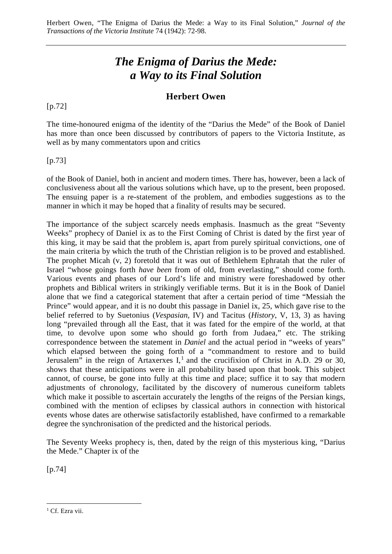# *The Enigma of Darius the Mede: a Way to its Final Solution*

# **Herbert Owen**

[p.72]

The time-honoured enigma of the identity of the "Darius the Mede" of the Book of Daniel has more than once been discussed by contributors of papers to the Victoria Institute, as well as by many commentators upon and critics

[p.73]

of the Book of Daniel, both in ancient and modern times. There has, however, been a lack of conclusiveness about all the various solutions which have, up to the present, been proposed. The ensuing paper is a re-statement of the problem, and embodies suggestions as to the manner in which it may be hoped that a finality of results may be secured.

The importance of the subject scarcely needs emphasis. Inasmuch as the great "Seventy Weeks" prophecy of Daniel ix as to the First Coming of Christ is dated by the first year of this king, it may be said that the problem is, apart from purely spiritual convictions, one of the main criteria by which the truth of the Christian religion is to be proved and established. The prophet Micah (v, 2) foretold that it was out of Bethlehem Ephratah that the ruler of Israel "whose goings forth *have been* from of old, from everlasting," should come forth. Various events and phases of our Lord's life and ministry were foreshadowed by other prophets and Biblical writers in strikingly verifiable terms. But it is in the Book of Daniel alone that we find a categorical statement that after a certain period of time "Messiah the Prince" would appear, and it is no doubt this passage in Daniel ix, 25, which gave rise to the belief referred to by Suetonius (*Vespasian*, IV) and Tacitus (*History*, V, 13, 3) as having long "prevailed through all the East, that it was fated for the empire of the world, at that time, to devolve upon some who should go forth from Judaea," etc. The striking correspondence between the statement in *Daniel* and the actual period in "weeks of years" which elapsed between the going forth of a "commandment to restore and to build Jerusalem" in the reign of Artaxerxes I,<sup>[1](#page-0-0)</sup> and the crucifixion of Christ in A.D. 29 or 30, shows that these anticipations were in all probability based upon that book. This subject cannot, of course, be gone into fully at this time and place; suffice it to say that modern adjustments of chronology, facilitated by the discovery of numerous cuneiform tablets which make it possible to ascertain accurately the lengths of the reigns of the Persian kings, combined with the mention of eclipses by classical authors in connection with historical events whose dates are otherwise satisfactorily established, have confirmed to a remarkable degree the synchronisation of the predicted and the historical periods.

The Seventy Weeks prophecy is, then, dated by the reign of this mysterious king, "Darius the Mede." Chapter ix of the

[p.74]

<span id="page-0-0"></span><sup>&</sup>lt;sup>1</sup> Cf. Ezra vii.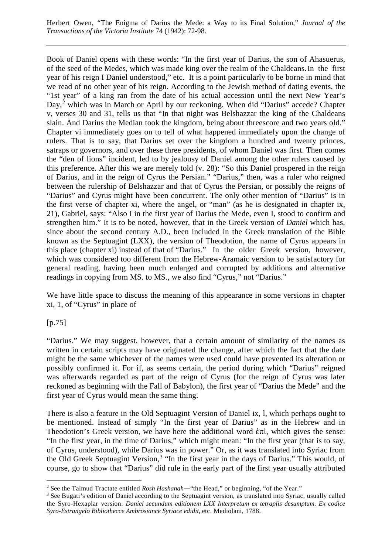Book of Daniel opens with these words: "In the first year of Darius, the son of Ahasuerus, of the seed of the Medes, which was made king over the realm of the Chaldeans.In the first year of his reign I Daniel understood," etc. It is a point particularly to be borne in mind that we read of no other year of his reign. According to the Jewish method of dating events, the "1st year" of a king ran from the date of his actual accession until the next New Year's Day,<sup>[2](#page-1-0)</sup> which was in March or April by our reckoning. When did "Darius" accede? Chapter v, verses 30 and 31, tells us that "In that night was Belshazzar the king of the Chaldeans slain. And Darius the Median took the kingdom, being about threescore and two years old." Chapter vi immediately goes on to tell of what happened immediately upon the change of rulers. That is to say, that Darius set over the kingdom a hundred and twenty princes, satraps or governors, and over these three presidents, of whom Daniel was first. Then comes the "den of lions" incident, led to by jealousy of Daniel among the other rulers caused by this preference. After this we are merely told (v. 28): "So this Daniel prospered in the reign of Darius, and in the reign of Cyrus the Persian." "Darius," then, was a ruler who reigned between the rulership of Belshazzar and that of Cyrus the Persian, or possibly the reigns of "Darius" and Cyrus might have been concurrent. The only other mention of "Darius" is in the first verse of chapter xi, where the angel, or "man" (as he is designated in chapter ix, 21), Gabriel, says: "Also I in the first year of Darius the Mede, even I, stood to confirm and strengthen him." It is to be noted, however, that in the Greek version of *Daniel* which has, since about the second century A.D., been included in the Greek translation of the Bible known as the Septuagint (LXX), the version of Theodotion, the name of Cyrus appears in this place (chapter xi) instead of that of "Darius." In the older Greek version, however, which was considered too different from the Hebrew-Aramaic version to be satisfactory for general reading, having been much enlarged and corrupted by additions and alternative readings in copying from MS. to MS., we also find "Cyrus," not "Darius."

We have little space to discuss the meaning of this appearance in some versions in chapter xi, 1, of "Cyrus" in place of

[p.75]

"Darius." We may suggest, however, that a certain amount of similarity of the names as written in certain scripts may have originated the change, after which the fact that the date might be the same whichever of the names were used could have prevented its alteration or possibly confirmed it. For if, as seems certain, the period during which "Darius" reigned was afterwards regarded as part of the reign of Cyrus (for the reign of Cyrus was later reckoned as beginning with the Fall of Babylon), the first year of "Darius the Mede" and the first year of Cyrus would mean the same thing.

There is also a feature in the Old Septuagint Version of Daniel ix, l, which perhaps ought to be mentioned. Instead of simply "In the first year of Darius" as in the Hebrew and in Theodotion's Greek version, we have here the additional word  $\epsilon \pi i$ , which gives the sense: "In the first year, in the time of Darius," which might mean: "In the first year (that is to say, of Cyrus, understood), while Darius was in power." Or, as it was translated into Syriac from the Old Greek Septuagint Version,<sup>[3](#page-1-1)</sup> "In the first year in the days of Darius." This would, of course, go to show that "Darius" did rule in the early part of the first year usually attributed

<span id="page-1-0"></span><sup>&</sup>lt;sup>2</sup> See the Talmud Tractate entitled *Rosh Hashanah*—"the Head," or beginning, "of the Year."

<span id="page-1-1"></span><sup>&</sup>lt;sup>3</sup> See Bugati's edition of Daniel according to the Septuagint version, as translated into Syriac, usually called the Syro-Hexaplar version: *Daniel secundum editionem LXX Interpretum ex tetraplis desumptum. Ex codice Syro-Estrangelo Bibliothecce Ambrosiance Syriace edidit*, etc. Mediolani, 1788.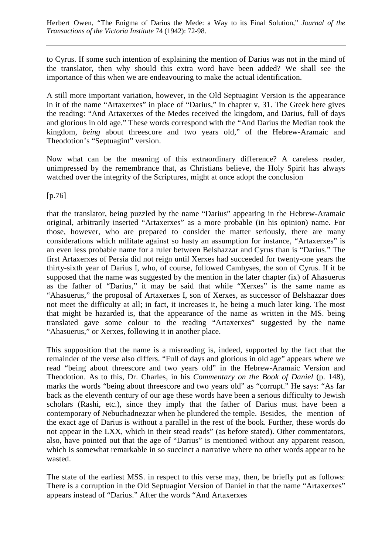to Cyrus. If some such intention of explaining the mention of Darius was not in the mind of the translator, then why should this extra word have been added? We shall see the importance of this when we are endeavouring to make the actual identification.

A still more important variation, however, in the Old Septuagint Version is the appearance in it of the name "Artaxerxes" in place of "Darius," in chapter v, 31. The Greek here gives the reading: "And Artaxerxes of the Medes received the kingdom, and Darius, full of days and glorious in old age." These words correspond with the "And Darius the Median took the kingdom, *being* about threescore and two years old," of the Hebrew-Aramaic and Theodotion's "Septuagint" version.

Now what can be the meaning of this extraordinary difference? A careless reader, unimpressed by the remembrance that, as Christians believe, the Holy Spirit has always watched over the integrity of the Scriptures, might at once adopt the conclusion

[p.76]

that the translator, being puzzled by the name "Darius" appearing in the Hebrew-Aramaic original, arbitrarily inserted "Artaxerxes" as a more probable (in his opinion) name. For those, however, who are prepared to consider the matter seriously, there are many considerations which militate against so hasty an assumption for instance, "Artaxerxes" is an even less probable name for a ruler between Belshazzar and Cyrus than is "Darius." The first Artaxerxes of Persia did not reign until Xerxes had succeeded for twenty-one years the thirty-sixth year of Darius I, who, of course, followed Cambyses, the son of Cyrus. If it be supposed that the name was suggested by the mention in the later chapter (ix) of Ahasuerus as the father of "Darius," it may be said that while "Xerxes" is the same name as "Ahasuerus," the proposal of Artaxerxes I, son of Xerxes, as successor of Belshazzar does not meet the difficulty at all; in fact, it increases it, he being a much later king. The most that might be hazarded is, that the appearance of the name as written in the MS. being translated gave some colour to the reading "Artaxerxes" suggested by the name "Ahasuerus," or Xerxes, following it in another place.

This supposition that the name is a misreading is, indeed, supported by the fact that the remainder of the verse also differs. "Full of days and glorious in old age" appears where we read "being about threescore and two years old" in the Hebrew-Aramaic Version and Theodotion. As to this, Dr. Charles, in his *Commentary on the Book of Daniel* (p. 148), marks the words "being about threescore and two years old" as "corrupt." He says: "As far back as the eleventh century of our age these words have been a serious difficulty to Jewish scholars (Rashi, etc.), since they imply that the father of Darius must have been a contemporary of Nebuchadnezzar when he plundered the temple. Besides, the mention of the exact age of Darius is without a parallel in the rest of the book. Further, these words do not appear in the LXX, which in their stead reads" (as before stated). Other commentators, also, have pointed out that the age of "Darius" is mentioned without any apparent reason, which is somewhat remarkable in so succinct a narrative where no other words appear to be wasted.

The state of the earliest MSS. in respect to this verse may, then, be briefly put as follows: There is a corruption in the Old Septuagint Version of Daniel in that the name "Artaxerxes" appears instead of "Darius." After the words "And Artaxerxes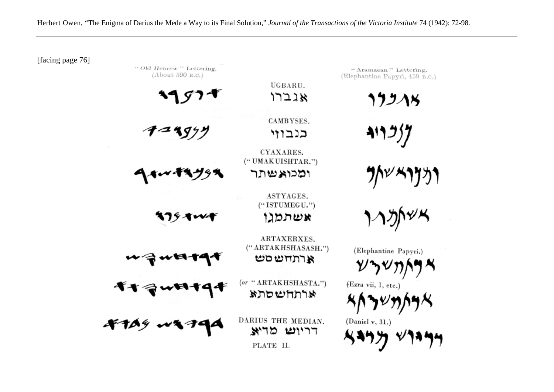[facing page 76]

" Old Hebrew" Lettering.  $(A$ bout 590 B.C.) (Elephantine Papyri,  $459 B.C.$ ) UGBARU.  $17218$  $199\lambda$ CAMBYSES.  $317377$  $-4999$ כנבוזי CYAXARES. ("UMAKUISHTAR.") ומכואשתר ASTYAGES.  $(``ISTUMEGU."')$ אשתמגו 379.TWF ARTAXERXES.  $($ " ARTAKHSHASASH.") (Elephantine Papyri.)  $w$ ta  $\tau$ 4 ארתחשםש (or "ARTAKHSHASTA.") (Ezra vii, 1, etc.) אותחשסתא DARIUS THE MEDIAN. (Daniel v,  $31.$ ) דריוש מדיא

"Aramaean" Lettering.

PLATE II.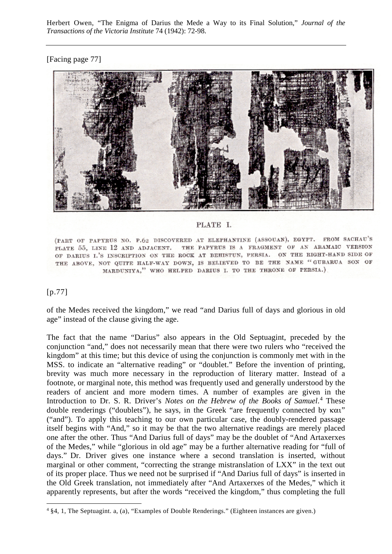### [Facing page 77]



#### PLATE I.

(PART OF PAPYRUS NO. P.62 DISCOVERED AT ELEPHANTINE (ASSOUAN), EGYPT. FROM SACHAU'S PLATE 55, LINE 12 AND ADJACENT. THE PAPYRUS IS A FRAGMENT OF AN ARAMAIC VERSION OF DARIUS I.'S INSCRIPTION ON THE ROCK AT BEHISTUN, PERSIA. ON THE RIGHT-HAND SIDE OF THE ABOVE, NOT QUITE HALF-WAY DOWN, IS BELIEVED TO BE THE NAME "GUBARUA SON OF MARDUNIYA," WHO HELPED DARIUS I. TO THE THRONE OF PERSIA.)

### [p.77]

of the Medes received the kingdom," we read "and Darius full of days and glorious in old age" instead of the clause giving the age.

The fact that the name "Darius" also appears in the Old Septuagint, preceded by the conjunction "and," does not necessarily mean that there were two rulers who "received the kingdom" at this time; but this device of using the conjunction is commonly met with in the MSS. to indicate an "alternative reading" or "doublet." Before the invention of printing, brevity was much more necessary in the reproduction of literary matter. Instead of a footnote, or marginal note, this method was frequently used and generally understood by the readers of ancient and more modern times. A number of examples are given in the Introduction to Dr. S. R. Driver's *Notes on the Hebrew of the Books of Samuel*. [4](#page-4-0) These double renderings ("doublets"), he says, in the Greek "are frequently connected by  $\kappa \alpha \iota$ " ("and"). To apply this teaching to our own particular case, the doubly-rendered passage itself begins with "And," so it may be that the two alternative readings are merely placed one after the other. Thus "And Darius full of days" may be the doublet of "And Artaxerxes of the Medes," while "glorious in old age" may be a further alternative reading for "full of days." Dr. Driver gives one instance where a second translation is inserted, without marginal or other comment, "correcting the strange mistranslation of LXX" in the text out of its proper place. Thus we need not be surprised if "And Darius full of days" is inserted in the Old Greek translation, not immediately after "And Artaxerxes of the Medes," which it apparently represents, but after the words "received the kingdom," thus completing the full

<span id="page-4-0"></span> <sup>4</sup> §4, 1, The Septuagint. a, (a), "Examples of Double Renderings." (Eighteen instances are given.)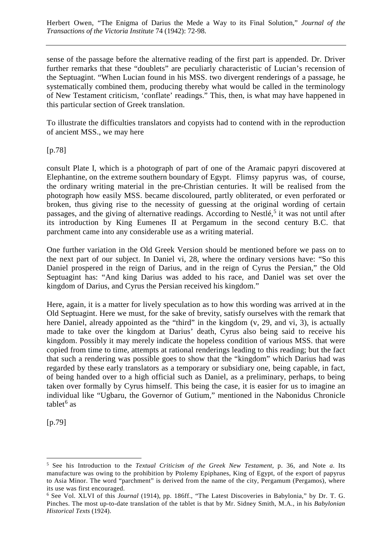sense of the passage before the alternative reading of the first part is appended. Dr. Driver further remarks that these "doublets" are peculiarly characteristic of Lucian's recension of the Septuagint. "When Lucian found in his MSS. two divergent renderings of a passage, he systematically combined them, producing thereby what would be called in the terminology of New Testament criticism, 'conflate' readings." This, then, is what may have happened in this particular section of Greek translation.

To illustrate the difficulties translators and copyists had to contend with in the reproduction of ancient MSS., we may here

[p.78]

consult Plate I, which is a photograph of part of one of the Aramaic papyri discovered at Elephantine, on the extreme southern boundary of Egypt. Flimsy papyrus was, of course, the ordinary writing material in the pre-Christian centuries. It will be realised from the photograph how easily MSS. became discoloured, partly obliterated, or even perforated or broken, thus giving rise to the necessity of guessing at the original wording of certain passages, and the giving of alternative readings. According to Nestlé,<sup>[5](#page-5-0)</sup> it was not until after its introduction by King Eumenes II at Pergamum in the second century B.C. that parchment came into any considerable use as a writing material.

One further variation in the Old Greek Version should be mentioned before we pass on to the next part of our subject. In Daniel vi, 28, where the ordinary versions have: "So this Daniel prospered in the reign of Darius, and in the reign of Cyrus the Persian," the Old Septuagint has: "And king Darius was added to his race, and Daniel was set over the kingdom of Darius, and Cyrus the Persian received his kingdom."

Here, again, it is a matter for lively speculation as to how this wording was arrived at in the Old Septuagint. Here we must, for the sake of brevity, satisfy ourselves with the remark that here Daniel, already appointed as the "third" in the kingdom (v, 29, and vi, 3), is actually made to take over the kingdom at Darius' death, Cyrus also being said to receive his kingdom. Possibly it may merely indicate the hopeless condition of various MSS. that were copied from time to time, attempts at rational renderings leading to this reading; but the fact that such a rendering was possible goes to show that the "kingdom" which Darius had was regarded by these early translators as a temporary or subsidiary one, being capable, in fact, of being handed over to a high official such as Daniel, as a preliminary, perhaps, to being taken over formally by Cyrus himself. This being the case, it is easier for us to imagine an individual like "Ugbaru, the Governor of Gutium," mentioned in the Nabonidus Chronicle tablet $^6$  $^6$  as

[p.79]

<span id="page-5-0"></span> <sup>5</sup> See his Introduction to the *Textual Criticism of the Greek New Testament*, p. 36, and Note *a*. Its manufacture was owing to the prohibition by Ptolemy Epiphanes, King of Egypt, of the export of papyrus to Asia Minor. The word "parchment" is derived from the name of the city, Pergamum (Pergamos), where its use was first encouraged.

<span id="page-5-1"></span><sup>6</sup> See Vol. XLVI of this *Journal* (1914), pp. 186ff., "The Latest Discoveries in Babylonia," by Dr. T. G. Pinches. The most up-to-date translation of the tablet is that by Mr. Sidney Smith, M.A., in his *Babylonian Historical Texts* (1924).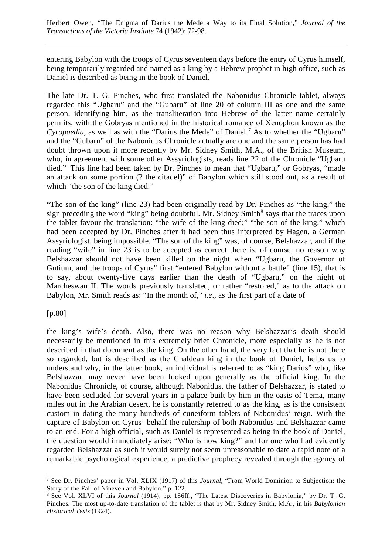entering Babylon with the troops of Cyrus seventeen days before the entry of Cyrus himself, being temporarily regarded and named as a king by a Hebrew prophet in high office, such as Daniel is described as being in the book of Daniel.

The late Dr. T. G. Pinches, who first translated the Nabonidus Chronicle tablet, always regarded this "Ugbaru" and the "Gubaru" of line 20 of column III as one and the same person, identifying him, as the transliteration into Hebrew of the latter name certainly permits, with the Gobryas mentioned in the historical romance of Xenophon known as the *Cyropaedia*, as well as with the "Darius the Mede" of Daniel.<sup>[7](#page-6-0)</sup> As to whether the "Ugbaru" and the "Gubaru" of the Nabonidus Chronicle actually are one and the same person has had doubt thrown upon it more recently by Mr. Sidney Smith, M.A., of the British Museum, who, in agreement with some other Assyriologists, reads line 22 of the Chronicle "Ugbaru died." This line had been taken by Dr. Pinches to mean that "Ugbaru," or Gobryas, "made an attack on some portion (? the citadel)" of Babylon which still stood out, as a result of which "the son of the king died."

"The son of the king" (line 23) had been originally read by Dr. Pinches as "the king," the sign preceding the word "king" being doubtful. Mr. Sidney Smith<sup>[8](#page-6-1)</sup> says that the traces upon the tablet favour the translation: "the wife of the king died;" "the son of the king," which had been accepted by Dr. Pinches after it had been thus interpreted by Hagen, a German Assyriologist, being impossible. "The son of the king" was, of course, Belshazzar, and if the reading "wife" in line 23 is to be accepted as correct there is, of course, no reason why Belshazzar should not have been killed on the night when "Ugbaru, the Governor of Gutium, and the troops of Cyrus" first "entered Babylon without a battle" (line 15), that is to say, about twenty-five days earlier than the death of "Ugbaru," on the night of Marcheswan II. The words previously translated, or rather "restored," as to the attack on Babylon, Mr. Smith reads as: "In the month of," *i.e*., as the first part of a date of

[p.80]

the king's wife's death. Also, there was no reason why Belshazzar's death should necessarily be mentioned in this extremely brief Chronicle, more especially as he is not described in that document as the king. On the other hand, the very fact that he is not there so regarded, but is described as the Chaldean king in the book of Daniel, helps us to understand why, in the latter book, an individual is referred to as "king Darius" who, like Belshazzar, may never have been looked upon generally as the official king. In the Nabonidus Chronicle, of course, although Nabonidus, the father of Belshazzar, is stated to have been secluded for several years in a palace built by him in the oasis of Tema, many miles out in the Arabian desert, he is constantly referred to as the king, as is the consistent custom in dating the many hundreds of cuneiform tablets of Nabonidus' reign. With the capture of Babylon on Cyrus' behalf the rulership of both Nabonidus and Belshazzar came to an end. For a high official, such as Daniel is represented as being in the book of Daniel, the question would immediately arise: "Who is now king?" and for one who had evidently regarded Belshazzar as such it would surely not seem unreasonable to date a rapid note of a remarkable psychological experience, a predictive prophecy revealed through the agency of

<span id="page-6-0"></span> <sup>7</sup> See Dr. Pinches' paper in Vol. XLIX (1917) of this *Journal*, "From World Dominion to Subjection: the Story of the Fall of Nineveh and Babylon." p. 122.

<span id="page-6-1"></span><sup>8</sup> See Vol. XLVI of this *Journal* (1914), pp. 186ff., "The Latest Discoveries in Babylonia," by Dr. T. G. Pinches. The most up-to-date translation of the tablet is that by Mr. Sidney Smith, M.A., in his *Babylonian Historical Texts* (1924).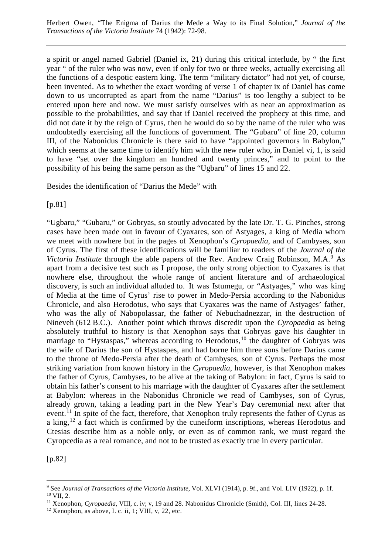a spirit or angel named Gabriel (Daniel ix, 21) during this critical interlude, by " the first year " of the ruler who was now, even if only for two or three weeks, actually exercising all the functions of a despotic eastern king. The term "military dictator" had not yet, of course, been invented. As to whether the exact wording of verse 1 of chapter ix of Daniel has come down to us uncorrupted as apart from the name "Darius" is too lengthy a subject to be entered upon here and now. We must satisfy ourselves with as near an approximation as possible to the probabilities, and say that if Daniel received the prophecy at this time, and did not date it by the reign of Cyrus, then he would do so by the name of the ruler who was undoubtedly exercising all the functions of government. The "Gubaru" of line 20, column III, of the Nabonidus Chronicle is there said to have "appointed governors in Babylon," which seems at the same time to identify him with the new ruler who, in Daniel vi, 1, is said to have "set over the kingdom an hundred and twenty princes," and to point to the possibility of his being the same person as the "Ugbaru" of lines 15 and 22.

Besides the identification of "Darius the Mede" with

[p.81]

"Ugbaru," "Gubaru," or Gobryas, so stoutly advocated by the late Dr. T. G. Pinches, strong cases have been made out in favour of Cyaxares, son of Astyages, a king of Media whom we meet with nowhere but in the pages of Xenophon's *Cyropaedia*, and of Cambyses, son of Cyrus. The first of these identifications will be familiar to readers of the *Journal of the Victoria Institute* through the able papers of the Rev. Andrew Craig Robinson, M.A.<sup>[9](#page-7-0)</sup> As apart from a decisive test such as I propose, the only strong objection to Cyaxares is that nowhere else, throughout the whole range of ancient literature and of archaeological discovery, is such an individual alluded to. It was Istumegu, or "Astyages," who was king of Media at the time of Cyrus' rise to power in Medo-Persia according to the Nabonidus Chronicle, and also Herodotus, who says that Cyaxares was the name of Astyages' father, who was the ally of Nabopolassar, the father of Nebuchadnezzar, in the destruction of Nineveh (612 B.C.). Another point which throws discredit upon the *Cyropaedia* as being absolutely truthful to history is that Xenophon says that Gobryas gave his daughter in marriage to "Hystaspas," whereas according to Herodotus, $10$  the daughter of Gobryas was the wife of Darius the son of Hystaspes, and had borne him three sons before Darius came to the throne of Medo-Persia after the death of Cambyses, son of Cyrus. Perhaps the most striking variation from known history in the *Cyropaedia*, however, is that Xenophon makes the father of Cyrus, Cambyses, to be alive at the taking of Babylon: in fact, Cyrus is said to obtain his father's consent to his marriage with the daughter of Cyaxares after the settlement at Babylon: whereas in the Nabonidus Chronicle we read of Cambyses, son of Cyrus, already grown, taking a leading part in the New Year's Day ceremonial next after that event.<sup>[11](#page-7-2)</sup> In spite of the fact, therefore, that Xenophon truly represents the father of Cyrus as a king,  $^{12}$  $^{12}$  $^{12}$  a fact which is confirmed by the cuneiform inscriptions, whereas Herodotus and Ctesias describe him as a noble only, or even as of common rank, we must regard the Cyropcedia as a real romance, and not to be trusted as exactly true in every particular.

[p.82]

<span id="page-7-1"></span><span id="page-7-0"></span> <sup>9</sup> See *Journal of Transactions of the Victoria Institute*, Vol. XLVI (1914), p. 9f., and Vol. LIV (1922), p. 1f. <sup>10</sup> VII, 2.

<span id="page-7-2"></span><sup>11</sup> Xenophon, *Cyropaedia*, VIII, c. iv; v, 19 and 28. Nabonidus Chronicle (Smith), Col. III, lines 24-28.

<span id="page-7-3"></span> $12$  Xenophon, as above, I. c. ii, 1; VIII, v, 22, etc.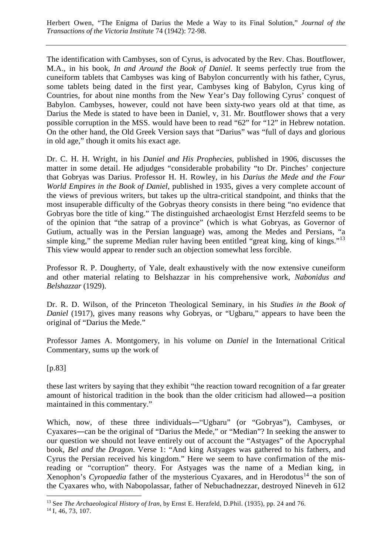The identification with Cambyses, son of Cyrus, is advocated by the Rev. Chas. Boutflower, M.A., in his book, *In and Around the Book of Daniel*. It seems perfectly true from the cuneiform tablets that Cambyses was king of Babylon concurrently with his father, Cyrus, some tablets being dated in the first year, Cambyses king of Babylon, Cyrus king of Countries, for about nine months from the New Year's Day following Cyrus' conquest of Babylon. Cambyses, however, could not have been sixty-two years old at that time, as Darius the Mede is stated to have been in Daniel, v, 31. Mr. Boutflower shows that a very possible corruption in the MSS. would have been to read "62" for "12" in Hebrew notation. On the other hand, the Old Greek Version says that "Darius" was "full of days and glorious in old age," though it omits his exact age.

Dr. C. H. H. Wright, in his *Daniel and His Prophecies*, published in 1906, discusses the matter in some detail. He adjudges "considerable probability "to Dr. Pinches' conjecture that Gobryas was Darius. Professor H. H. Rowley, in his *Darius the Mede and the Four World Empires in the Book of Daniel*, published in 1935, gives a very complete account of the views of previous writers, but takes up the ultra-critical standpoint, and thinks that the most insuperable difficulty of the Gobryas theory consists in there being "no evidence that Gobryas bore the title of king." The distinguished archaeologist Ernst Herzfeld seems to be of the opinion that "the satrap of a province" (which is what Gobryas, as Governor of Gutium, actually was in the Persian language) was, among the Medes and Persians, "a simple king," the supreme Median ruler having been entitled "great king, king of kings."<sup>[13](#page-8-0)</sup> This view would appear to render such an objection somewhat less forcible.

Professor R. P. Dougherty, of Yale, dealt exhaustively with the now extensive cuneiform and other material relating to Belshazzar in his comprehensive work, *Nabonidus and Belshazzar* (1929).

Dr. R. D. Wilson, of the Princeton Theological Seminary, in his *Studies in the Book of Daniel* (1917), gives many reasons why Gobryas, or "Ugbaru," appears to have been the original of "Darius the Mede."

Professor James A. Montgomery, in his volume on *Daniel* in the International Critical Commentary, sums up the work of

[p.83]

these last writers by saying that they exhibit "the reaction toward recognition of a far greater amount of historical tradition in the book than the older criticism had allowed―a position maintained in this commentary."

Which, now, of these three individuals―"Ugbaru" (or "Gobryas"), Cambyses, or Cyaxares―can be the original of "Darius the Mede," or "Median"? In seeking the answer to our question we should not leave entirely out of account the "Astyages" of the Apocryphal book, *Bel and the Dragon*. Verse 1: "And king Astyages was gathered to his fathers, and Cyrus the Persian received his kingdom." Here we seem to have confirmation of the misreading or "corruption" theory. For Astyages was the name of a Median king, in Xenophon's *Cyropaedia* father of the mysterious Cyaxares, and in Herodotus<sup>[14](#page-8-1)</sup> the son of the Cyaxares who, with Nabopolassar, father of Nebuchadnezzar, destroyed Nineveh in 612

<span id="page-8-1"></span><span id="page-8-0"></span> <sup>13</sup> See *The Archaeological History of Iran*, by Ernst E. Herzfeld, D.Phil. (1935), pp. 24 and 76. <sup>14</sup> I, 46, 73, 107.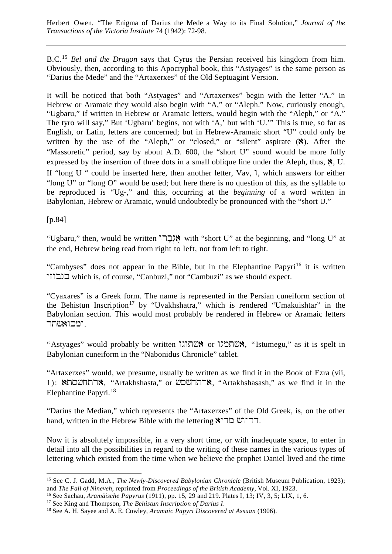B.C.[15](#page-9-0) *Bel and the Dragon* says that Cyrus the Persian received his kingdom from him. Obviously, then, according to this Apocryphal book, this "Astyages" is the same person as "Darius the Mede" and the "Artaxerxes" of the Old Septuagint Version.

It will be noticed that both "Astyages" and "Artaxerxes" begin with the letter "A." In Hebrew or Aramaic they would also begin with "A," or "Aleph." Now, curiously enough, "Ugbaru," if written in Hebrew or Aramaic letters, would begin with the "Aleph," or "A." The tyro will say," But 'Ugbaru' begins, not with 'A,' but with 'U.'" This is true, so far as English, or Latin, letters are concerned; but in Hebrew-Aramaic short "U" could only be written by the use of the "Aleph," or "closed," or "silent" aspirate  $(\aleph)$ . After the "Massoretic" period, say by about A.D. 600, the "short U" sound would be more fully expressed by the insertion of three dots in a small oblique line under the Aleph, thus,  $\aleph$ , U. If "long U " could be inserted here, then another letter, Vav,  $\lambda$ , which answers for either "long U" or "long O" would be used; but here there is no question of this, as the syllable to be reproduced is "Ug-," and this, occurring at the *beginning* of a word written in Babylonian, Hebrew or Aramaic, would undoubtedly be pronounced with the "short U."

[p.84]

"Ugbaru," then, would be written "אֲבָּרוֹ" with "short U" at the beginning, and "long U" at the end, Hebrew being read from right to left, not from left to right.

"Cambyses" does not appear in the Bible, but in the Elephantine Papyri<sup>[16](#page-9-1)</sup> it is written yzwbnk which is, of course, "Canbuzi," not "Cambuzi" as we should expect.

"Cyaxares" is a Greek form. The name is represented in the Persian cuneiform section of the Behistun Inscription<sup>[17](#page-9-2)</sup> by "Uvakhshatra," which is rendered "Umakuishtar" in the Babylonian section. This would most probably be rendered in Hebrew or Aramaic letters ומכואשתר.

"Astyages" would probably be written "אשתוגו" or אשתמגו". "Istumegu," as it is spelt in Babylonian cuneiform in the "Nabonidus Chronicle" tablet.

"Artaxerxes" would, we presume, usually be written as we find it in the Book of Ezra (vii, 1): ארתחשסהא, "Artakhshasta," or שטחהא, "Artakhshasash," as we find it in the Elephantine Papyri.<sup>[18](#page-9-3)</sup>

"Darius the Median," which represents the "Artaxerxes" of the Old Greek, is, on the other hand, written in the Hebrew Bible with the lettering  $\mathbf{S}\text{-}\mathbf{W}$ 

Now it is absolutely impossible, in a very short time, or with inadequate space, to enter in detail into all the possibilities in regard to the writing of these names in the various types of lettering which existed from the time when we believe the prophet Daniel lived and the time

<span id="page-9-0"></span><sup>&</sup>lt;sup>15</sup> See C. J. Gadd, M.A., *The Newly-Discovered Babylonian Chronicle* (British Museum Publication, 1923); and *The Fall of Nineveh*, reprinted from *Proceedings of the British Academy*, Vol. XI, 1923.

<span id="page-9-1"></span><sup>16</sup> See Sachau, *Aramäische Papyrus* (1911), pp. 15, 29 and 219. Plates I, 13; IV, 3, 5; LIX, 1, 6.

<span id="page-9-2"></span><sup>17</sup> See King and Thompson, *The Behistun Inscription of Darius I*.

<span id="page-9-3"></span><sup>18</sup> See A. H. Sayee and A. E. Cowley, *Aramaic Papyri Discovered at Assuan* (1906).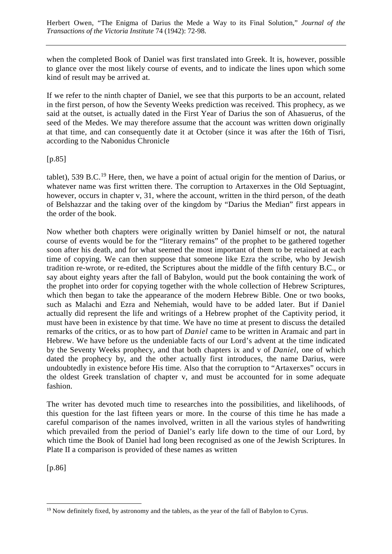when the completed Book of Daniel was first translated into Greek. It is, however, possible to glance over the most likely course of events, and to indicate the lines upon which some kind of result may be arrived at.

If we refer to the ninth chapter of Daniel, we see that this purports to be an account, related in the first person, of how the Seventy Weeks prediction was received. This prophecy, as we said at the outset, is actually dated in the First Year of Darius the son of Ahasuerus, of the seed of the Medes. We may therefore assume that the account was written down originally at that time, and can consequently date it at October (since it was after the 16th of Tisri, according to the Nabonidus Chronicle

[p.85]

tablet), 539 B.C.<sup>[19](#page-10-0)</sup> Here, then, we have a point of actual origin for the mention of Darius, or whatever name was first written there. The corruption to Artaxerxes in the Old Septuagint, however, occurs in chapter v, 31, where the account, written in the third person, of the death of Belshazzar and the taking over of the kingdom by "Darius the Median" first appears in the order of the book.

Now whether both chapters were originally written by Daniel himself or not, the natural course of events would be for the "literary remains" of the prophet to be gathered together soon after his death, and for what seemed the most important of them to be retained at each time of copying. We can then suppose that someone like Ezra the scribe, who by Jewish tradition re-wrote, or re-edited, the Scriptures about the middle of the fifth century B.C., or say about eighty years after the fall of Babylon, would put the book containing the work of the prophet into order for copying together with the whole collection of Hebrew Scriptures, which then began to take the appearance of the modern Hebrew Bible. One or two books, such as Malachi and Ezra and Nehemiah, would have to be added later. But if Daniel actually did represent the life and writings of a Hebrew prophet of the Captivity period, it must have been in existence by that time. We have no time at present to discuss the detailed remarks of the critics, or as to how part of *Daniel* came to be written in Aramaic and part in Hebrew. We have before us the undeniable facts of our Lord's advent at the time indicated by the Seventy Weeks prophecy, and that both chapters ix and v of *Daniel*, one of which dated the prophecy by, and the other actually first introduces, the name Darius, were undoubtedly in existence before His time. Also that the corruption to "Artaxerxes" occurs in the oldest Greek translation of chapter v, and must be accounted for in some adequate fashion.

The writer has devoted much time to researches into the possibilities, and likelihoods, of this question for the last fifteen years or more. In the course of this time he has made a careful comparison of the names involved, written in all the various styles of handwriting which prevailed from the period of Daniel's early life down to the time of our Lord, by which time the Book of Daniel had long been recognised as one of the Jewish Scriptures. In Plate II a comparison is provided of these names as written

[p.86]

<span id="page-10-0"></span> $19$  Now definitely fixed, by astronomy and the tablets, as the year of the fall of Babylon to Cyrus.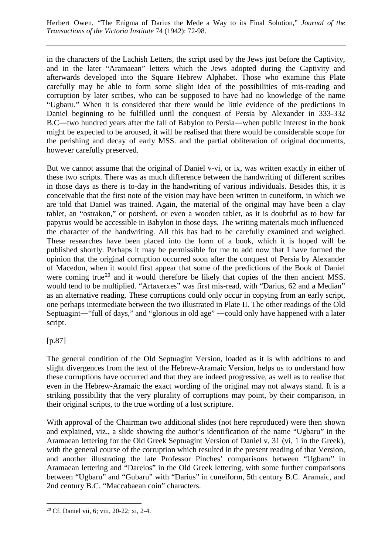in the characters of the Lachish Letters, the script used by the Jews just before the Captivity, and in the later "Aramaean" letters which the Jews adopted during the Captivity and afterwards developed into the Square Hebrew Alphabet. Those who examine this Plate carefully may be able to form some slight idea of the possibilities of mis-reading and corruption by later scribes, who can be supposed to have had no knowledge of the name "Ugbaru." When it is considered that there would be little evidence of the predictions in Daniel beginning to be fulfilled until the conquest of Persia by Alexander in 333-332 B.C―two hundred years after the fall of Babylon to Persia―when public interest in the book might be expected to be aroused, it will be realised that there would be considerable scope for the perishing and decay of early MSS. and the partial obliteration of original documents, however carefully preserved.

But we cannot assume that the original of Daniel v-vi, or ix, was written exactly in either of these two scripts. There was as much difference between the handwriting of different scribes in those days as there is to-day in the handwriting of various individuals. Besides this, it is conceivable that the first note of the vision may have been written in cuneiform, in which we are told that Daniel was trained. Again, the material of the original may have been a clay tablet, an "ostrakon," or potsherd, or even a wooden tablet, as it is doubtful as to how far papyrus would be accessible in Babylon in those days. The writing materials much influenced the character of the handwriting. All this has had to be carefully examined and weighed. These researches have been placed into the form of a book, which it is hoped will be published shortly. Perhaps it may be permissible for me to add now that I have formed the opinion that the original corruption occurred soon after the conquest of Persia by Alexander of Macedon, when it would first appear that some of the predictions of the Book of Daniel were coming true<sup>[20](#page-11-0)</sup> and it would therefore be likely that copies of the then ancient MSS. would tend to be multiplied. "Artaxerxes" was first mis-read, with "Darius, 62 and a Median" as an alternative reading. These corruptions could only occur in copying from an early script, one perhaps intermediate between the two illustrated in Plate II. The other readings of the Old Septuagint―"full of days," and "glorious in old age" ―could only have happened with a later script.

## [p.87]

The general condition of the Old Septuagint Version, loaded as it is with additions to and slight divergences from the text of the Hebrew-Aramaic Version, helps us to understand how these corruptions have occurred and that they are indeed progressive, as well as to realise that even in the Hebrew-Aramaic the exact wording of the original may not always stand. It is a striking possibility that the very plurality of corruptions may point, by their comparison, in their original scripts, to the true wording of a lost scripture.

With approval of the Chairman two additional slides (not here reproduced) were then shown and explained, viz., a slide showing the author's identification of the name "Ugbaru" in the Aramaean lettering for the Old Greek Septuagint Version of Daniel v, 31 (vi, 1 in the Greek), with the general course of the corruption which resulted in the present reading of that Version, and another illustrating the late Professor Pinches' comparisons between "Ugbaru" in Aramaean lettering and "Dareios" in the Old Greek lettering, with some further comparisons between "Ugbaru" and "Gubaru" with "Darius" in cuneiform, 5th century B.C. Aramaic, and 2nd century B.C. "Maccabaean coin" characters.

<span id="page-11-0"></span> <sup>20</sup> Cf. Daniel vii, 6; viii, 20-22; xi, 2-4.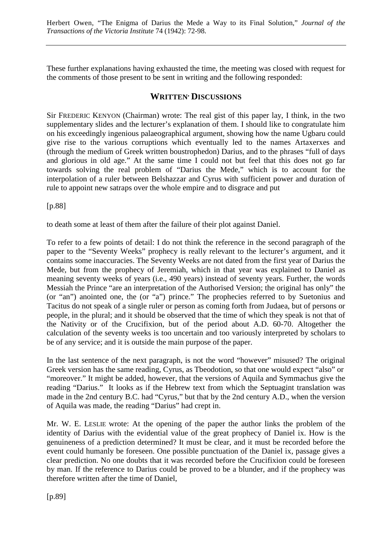These further explanations having exhausted the time, the meeting was closed with request for the comments of those present to be sent in writing and the following responded:

## **WRITTEN, DISCUSSIONS**

Sir FREDERIC KENYON (Chairman) wrote: The real gist of this paper lay, I think, in the two supplementary slides and the lecturer's explanation of them. I should like to congratulate him on his exceedingly ingenious palaeographical argument, showing how the name Ugbaru could give rise to the various corruptions which eventually led to the names Artaxerxes and (through the medium of Greek written boustrophedon) Darius, and to the phrases "full of days and glorious in old age." At the same time I could not but feel that this does not go far towards solving the real problem of "Darius the Mede," which is to account for the interpolation of a ruler between Belshazzar and Cyrus with sufficient power and duration of rule to appoint new satraps over the whole empire and to disgrace and put

[p.88]

to death some at least of them after the failure of their plot against Daniel.

To refer to a few points of detail: I do not think the reference in the second paragraph of the paper to the "Seventy Weeks" prophecy is really relevant to the lecturer's argument, and it contains some inaccuracies. The Seventy Weeks are not dated from the first year of Darius the Mede, but from the prophecy of Jeremiah, which in that year was explained to Daniel as meaning seventy weeks of years (i.e., 490 years) instead of seventy years. Further, the words Messiah the Prince "are an interpretation of the Authorised Version; the original has only" the (or "an") anointed one, the (or "a") prince." The prophecies referred to by Suetonius and Tacitus do not speak of a single ruler or person as coming forth from Judaea, but of persons or people, in the plural; and it should be observed that the time of which they speak is not that of the Nativity or of the Crucifixion, but of the period about A.D. 60-70. Altogether the calculation of the seventy weeks is too uncertain and too variously interpreted by scholars to be of any service; and it is outside the main purpose of the paper.

In the last sentence of the next paragraph, is not the word "however" misused? The original Greek version has the same reading, Cyrus, as Tbeodotion, so that one would expect "also" or "moreover." It might be added, however, that the versions of Aquila and Symmachus give the reading "Darius." It looks as if the Hebrew text from which the Septuagint translation was made in the 2nd century B.C. had "Cyrus," but that by the 2nd century A.D., when the version of Aquila was made, the reading "Darius" had crept in.

Mr. W. E. LESLIE wrote: At the opening of the paper the author links the problem of the identity of Darius with the evidential value of the great prophecy of Daniel ix. How is the genuineness of a prediction determined? It must be clear, and it must be recorded before the event could humanly be foreseen. One possible punctuation of the Daniel ix, passage gives a clear prediction. No one doubts that it was recorded before the Crucifixion could be foreseen by man. If the reference to Darius could be proved to be a blunder, and if the prophecy was therefore written after the time of Daniel,

[p.89]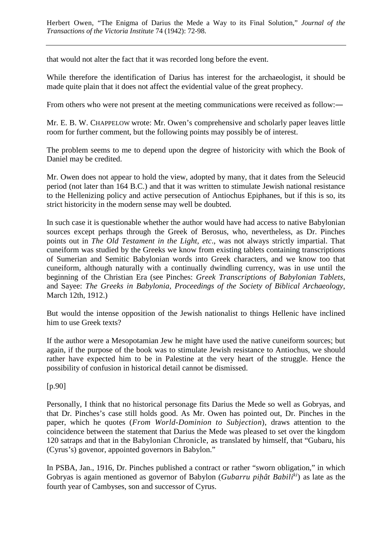that would not alter the fact that it was recorded long before the event.

While therefore the identification of Darius has interest for the archaeologist, it should be made quite plain that it does not affect the evidential value of the great prophecy.

From others who were not present at the meeting communications were received as follow:—

Mr. E. B. W. CHAPPELOW wrote: Mr. Owen's comprehensive and scholarly paper leaves little room for further comment, but the following points may possibly be of interest.

The problem seems to me to depend upon the degree of historicity with which the Book of Daniel may be credited.

Mr. Owen does not appear to hold the view, adopted by many, that it dates from the Seleucid period (not later than 164 B.C.) and that it was written to stimulate Jewish national resistance to the Hellenizing policy and active persecution of Antiochus Epiphanes, but if this is so, its strict historicity in the modern sense may well be doubted.

In such case it is questionable whether the author would have had access to native Babylonian sources except perhaps through the Greek of Berosus, who, nevertheless, as Dr. Pinches points out in *The Old Testament in the Light, etc*., was not always strictly impartial. That cuneiform was studied by the Greeks we know from existing tablets containing transcriptions of Sumerian and Semitic Babylonian words into Greek characters, and we know too that cuneiform, although naturally with a continually dwindling currency, was in use until the beginning of the Christian Era (see Pinches: *Greek Transcriptions of Babylonian Tablets*, and Sayee: *The Greeks in Babylonia, Proceedings of the Society of Biblical Archaeology*, March 12th, 1912.)

But would the intense opposition of the Jewish nationalist to things Hellenic have inclined him to use Greek texts?

If the author were a Mesopotamian Jew he might have used the native cuneiform sources; but again, if the purpose of the book was to stimulate Jewish resistance to Antiochus, we should rather have expected him to be in Palestine at the very heart of the struggle. Hence the possibility of confusion in historical detail cannot be dismissed.

[p.90]

Personally, I think that no historical personage fits Darius the Mede so well as Gobryas, and that Dr. Pinches's case still holds good. As Mr. Owen has pointed out, Dr. Pinches in the paper, which he quotes (*From World-Dominion to Subjection*), draws attention to the coincidence between the statement that Darius the Mede was pleased to set over the kingdom 120 satraps and that in the Babylonian Chronicle, as translated by himself, that "Gubaru, his (Cyrus's) govenor, appointed governors in Babylon."

In PSBA, Jan., 1916, Dr. Pinches published a contract or rather "sworn obligation," in which Gobryas is again mentioned as governor of Babylon (*Gubarru pih*ã*ât Babiliki*) as late as the fourth year of Cambyses, son and successor of Cyrus.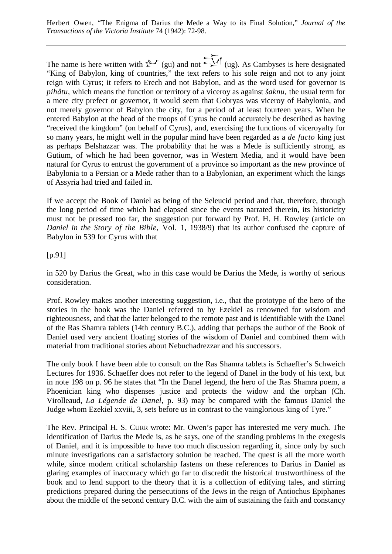The name is here written with  $\hat{\Sigma}$  (gu) and not  $\hat{\Sigma}$  (ug). As Cambyses is here designated "King of Babylon, king of countries," the text refers to his sole reign and not to any joint reign with Cyrus; it refers to Erech and not Babylon, and as the word used for governor is *pihâtu*, which means the function or territory of a viceroy as against *šaknu*, the usual term for a mere city prefect or governor, it would seem that Gobryas was viceroy of Babylonia, and not merely governor of Babylon the city, for a period of at least fourteen years. When he entered Babylon at the head of the troops of Cyrus he could accurately be described as having "received the kingdom" (on behalf of Cyrus), and, exercising the functions of viceroyalty for so many years, he might well in the popular mind have been regarded as a *de facto* king just as perhaps Belshazzar was. The probability that he was a Mede is sufficiently strong, as Gutium, of which he had been governor, was in Western Media, and it would have been natural for Cyrus to entrust the government of a province so important as the new province of Babylonia to a Persian or a Mede rather than to a Babylonian, an experiment which the kings of Assyria had tried and failed in.

If we accept the Book of Daniel as being of the Seleucid period and that, therefore, through the long period of time which had elapsed since the events narrated therein, its historicity must not be pressed too far, the suggestion put forward by Prof. H. H. Rowley (article on *Daniel in the Story of the Bible*, Vol. 1, 1938/9) that its author confused the capture of Babylon in 539 for Cyrus with that

[p.91]

in 520 by Darius the Great, who in this case would be Darius the Mede, is worthy of serious consideration.

Prof. Rowley makes another interesting suggestion, i.e., that the prototype of the hero of the stories in the book was the Daniel referred to by Ezekiel as renowned for wisdom and righteousness, and that the latter belonged to the remote past and is identifiable with the Danel of the Ras Shamra tablets (14th century B.C.), adding that perhaps the author of the Book of Daniel used very ancient floating stories of the wisdom of Daniel and combined them with material from traditional stories about Nebuchadrezzar and his successors.

The only book I have been able to consult on the Ras Shamra tablets is Schaeffer's Schweich Lectures for 1936. Schaeffer does not refer to the legend of Danel in the body of his text, but in note 198 on p. 96 he states that "In the Danel legend, the hero of the Ras Shamra poem, a Phoenician king who dispenses justice and protects the widow and the orphan (Ch. Virolleaud, *La Légende de Danel*, p. 93) may be compared with the famous Daniel the Judge whom Ezekiel xxviii, 3, sets before us in contrast to the vainglorious king of Tyre."

The Rev. Principal H. S. CURR wrote: Mr. Owen's paper has interested me very much. The identification of Darius the Mede is, as he says, one of the standing problems in the exegesis of Daniel, and it is impossible to have too much discussion regarding it, since only by such minute investigations can a satisfactory solution be reached. The quest is all the more worth while, since modern critical scholarship fastens on these references to Darius in Daniel as glaring examples of inaccuracy which go far to discredit the historical trustworthiness of the book and to lend support to the theory that it is a collection of edifying tales, and stirring predictions prepared during the persecutions of the Jews in the reign of Antiochus Epiphanes about the middle of the second century B.C. with the aim of sustaining the faith and constancy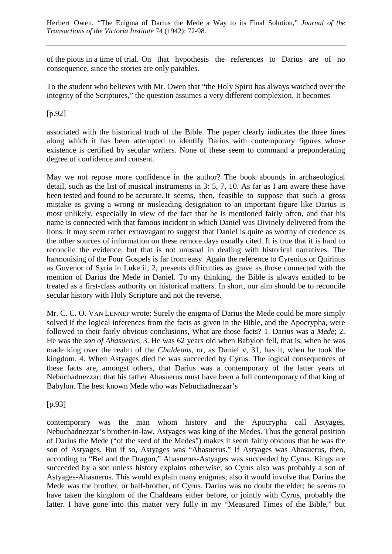of the pious in a time of trial. On that hypothesis the references to Darius are of no consequence, since the stories are only parables.

To the student who believes with Mr. Owen that "the Holy Spirit has always watched over the integrity of the Scriptures," the question assumes a very different complexion. It becomes

[p.92]

associated with the historical truth of the Bible. The paper clearly indicates the three lines along which it has been attempted to identify Darius with contemporary figures whose existence is certified by secular writers. None of these seem to command a preponderating degree of confidence and consent.

May we not repose more confidence in the author? The book abounds in archaeological detail, such as the list of musical instruments in 3: 5, 7, 10. As far as I am aware these have been tested and found to be accurate. It seems, then, feasible to suppose that such a gross mistake as giving a wrong or misleading designation to an important figure like Darius is most unlikely, especially in view of the fact that he is mentioned fairly often, and that his name is connected with that famous incident in which Daniel was Divinely delivered from the lions. It may seem rather extravagant to suggest that Daniel is quite as worthy of credence as the other sources of information on these remote days usually cited. It is true that it is hard to reconcile the evidence, but that is not unusual in dealing with historical narratives. The harmonising of the Four Gospels is far from easy. Again the reference to Cyrenius or Quirinus as Govenor of Syria in Luke ii, 2, presents difficulties as grave as those connected with the mention of Darius the Mede in Daniel. To my thinking, the Bible is always entitled to be treated as a first-class authority on historical matters. In short, our aim should be to reconcile secular history with Holy Scripture and not the reverse.

Mr. C. C. O. VAN LENNEP wrote: Surely the enigma of Darius the Mede could be more simply solved if the logical inferences from the facts as given in the Bible, and the Apocrypha, were followed to their fairly obvious conclusions, What are those facts? 1. Darius was a *Mede*; 2. He was the *son of Ahasuerus*; 3. He was 62 years old when Babylon fell, that is, when he was made king over the realm of the *Chaldeans*, or, as Daniel v, 31, has it, when he took the kingdom. 4. When Astyages died he was succeeded by Cyrus. The logical consequences of these facts are, amongst others, that Darius was a contemporary of the latter years of Nebuchadnezzar: that his father Ahasuerus must have been a full contemporary of that king of Babylon. The best known Mede-who was Nebuchadnezzar's

[p.93]

contemporary was the man whom history and the Apocrypha call Astyages, Nebuchadnezzar's brother-in-law. Astyages was king of the Medes. Thus the general position of Darius the Mede ("of the seed of the Medes") makes it seem fairly obvious that he was the son of Astyages. But if so, Astyages was "Ahasuerus." If Astyages was Ahasuerus, then, according to "Bel and the Dragon," Ahasuerus-Astyages was succeeded by Cyrus. Kings are succeeded by a son unless history explains otherwise; so Cyrus also was probably a son of Astyages-Ahasuerus. This would explain many enigmas; also it would involve that Darius the Mede was the brother, or half-brother, of Cyrus. Darius was no doubt the elder; he seems to have taken the kingdom of the Chaldeans either before, or jointly with Cyrus, probably the latter. I have gone into this matter very fully in my "Measured Times of the Bible," but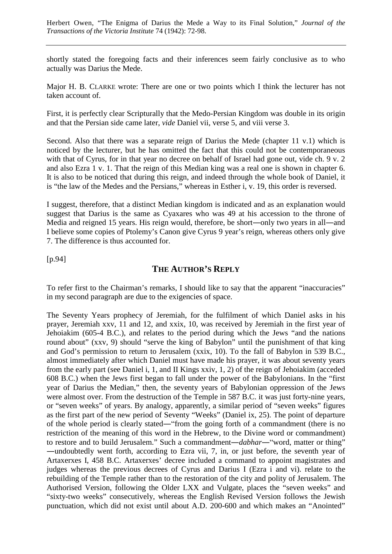shortly stated the foregoing facts and their inferences seem fairly conclusive as to who actually was Darius the Mede.

Major H. B. CLARKE wrote: There are one or two points which I think the lecturer has not taken account of.

First, it is perfectly clear Scripturally that the Medo-Persian Kingdom was double in its origin and that the Persian side came later, *vide* Daniel vii, verse 5, and viii verse 3.

Second. Also that there was a separate reign of Darius the Mede (chapter 11 v.1) which is noticed by the lecturer, but he has omitted the fact that this could not be contemporaneous with that of Cyrus, for in that year no decree on behalf of Israel had gone out, vide ch. 9 v. 2 and also Ezra 1 v. 1. That the reign of this Median king was a real one is shown in chapter 6. It is also to be noticed that during this reign, and indeed through the whole book of Daniel, it is "the law of the Medes and the Persians," whereas in Esther i, v. 19, this order is reversed.

I suggest, therefore, that a distinct Median kingdom is indicated and as an explanation would suggest that Darius is the same as Cyaxares who was 49 at his accession to the throne of Media and reigned 15 years. His reign would, therefore, be short—only two years in all—and I believe some copies of Ptolemy's Canon give Cyrus 9 year's reign, whereas others only give 7. The difference is thus accounted for.

[p.94]

## **THE AUTHOR'S REPLY**

To refer first to the Chairman's remarks, I should like to say that the apparent "inaccuracies" in my second paragraph are due to the exigencies of space.

The Seventy Years prophecy of Jeremiah, for the fulfilment of which Daniel asks in his prayer, Jeremiah xxv, 11 and 12, and xxix, 10, was received by Jeremiah in the first year of Jehoiakim (605-4 B.C.), and relates to the period during which the Jews "and the nations round about" (xxv, 9) should "serve the king of Babylon" until the punishment of that king and God's permission to return to Jerusalem (xxix, 10). To the fall of Babylon in 539 B.C., almost immediately after which Daniel must have made his prayer, it was about seventy years from the early part (see Daniel i, 1, and II Kings xxiv, 1, 2) of the reign of Jehoiakim (acceded 608 B.C.) when the Jews first began to fall under the power of the Babylonians. In the "first year of Darius the Median," then, the seventy years of Babylonian oppression of the Jews were almost over. From the destruction of the Temple in 587 B.C. it was just forty-nine years, or "seven weeks" of years. By analogy, apparently, a similar period of "seven weeks" figures as the first part of the new period of Seventy "Weeks" (Daniel ix, 25). The point of departure of the whole period is clearly stated―"from the going forth of a commandment (there is no restriction of the meaning of this word in the Hebrew, to the Divine word or commandment) to restore and to build Jerusalem." Such a commandment―*dabhar*―"word, matter or thing" ―undoubtedly went forth, according to Ezra vii, 7, in, or just before, the seventh year of Artaxerxes I, 458 B.C. Artaxerxes' decree included a command to appoint magistrates and judges whereas the previous decrees of Cyrus and Darius I (Ezra i and vi). relate to the rebuilding of the Temple rather than to the restoration of the city and polity of Jerusalem. The Authorised Version, following the Older LXX and Vulgate, places the "seven weeks" and "sixty-two weeks" consecutively, whereas the English Revised Version follows the Jewish punctuation, which did not exist until about A.D. 200-600 and which makes an "Anointed"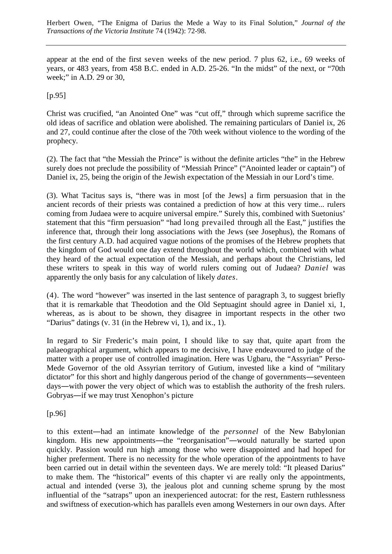appear at the end of the first seven weeks of the new period. 7 plus 62, i.e., 69 weeks of years, or 483 years, from 458 B.C. ended in A.D. 25-26. "In the midst" of the next, or "70th week;" in A.D. 29 or 30,

 $[p.95]$ 

Christ was crucified, "an Anointed One" was "cut off," through which supreme sacrifice the old ideas of sacrifice and oblation were abolished. The remaining particulars of Daniel ix, 26 and 27, could continue after the close of the 70th week without violence to the wording of the prophecy.

(2). The fact that "the Messiah the Prince" is without the definite articles "the" in the Hebrew surely does not preclude the possibility of "Messiah Prince" ("Anointed leader or captain") of Daniel ix, 25, being the origin of the Jewish expectation of the Messiah in our Lord's time.

(3). What Tacitus says is, "there was in most [of the Jews] a firm persuasion that in the ancient records of their priests was contained a prediction of how at this very time... rulers coming from Judaea were to acquire universal empire." Surely this, combined with Suetonius' statement that this "firm persuasion" "had long prevailed through all the East," justifies the inference that, through their long associations with the Jews (see Josephus), the Romans of the first century A.D. had acquired vague notions of the promises of the Hebrew prophets that the kingdom of God would one day extend throughout the world which, combined with what they heard of the actual expectation of the Messiah, and perhaps about the Christians, led these writers to speak in this way of world rulers coming out of Judaea? *Daniel* was apparently the only basis for any calculation of likely *dates*.

(4). The word "however" was inserted in the last sentence of paragraph 3, to suggest briefly that it is remarkable that Theodotion and the Old Septuagint should agree in Daniel xi, 1, whereas, as is about to be shown, they disagree in important respects in the other two "Darius" datings (v. 31 (in the Hebrew vi, 1), and ix., 1).

In regard to Sir Frederic's main point, I should like to say that, quite apart from the palaeographical argument, which appears to me decisive, I have endeavoured to judge of the matter with a proper use of controlled imagination. Here was Ugbaru, the "Assyrian" Perso-Mede Governor of the old Assyrian territory of Gutium, invested like a kind of "military dictator" for this short and highly dangerous period of the change of governments—seventeen days―with power the very object of which was to establish the authority of the fresh rulers. Gobryas―if we may trust Xenophon's picture

[p.96]

to this extent―had an intimate knowledge of the *personnel* of the New Babylonian kingdom. His new appointments—the "reorganisation"—would naturally be started upon quickly. Passion would run high among those who were disappointed and had hoped for higher preferment. There is no necessity for the whole operation of the appointments to have been carried out in detail within the seventeen days. We are merely told: "It pleased Darius" to make them. The "historical" events of this chapter vi are really only the appointments, actual and intended (verse 3), the jealous plot and cunning scheme sprung by the most influential of the "satraps" upon an inexperienced autocrat: for the rest, Eastern ruthlessness and swiftness of execution-which has parallels even among Westerners in our own days. After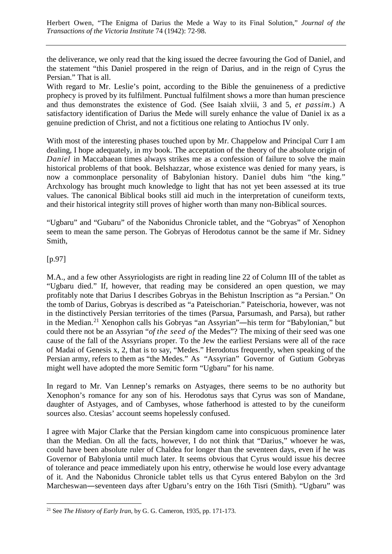the deliverance, we only read that the king issued the decree favouring the God of Daniel, and the statement "this Daniel prospered in the reign of Darius, and in the reign of Cyrus the Persian." That is all.

With regard to Mr. Leslie's point, according to the Bible the genuineness of a predictive prophecy is proved by its fulfilment. Punctual fulfilment shows a more than human prescience and thus demonstrates the existence of God. (See Isaiah xlviii, 3 and 5, *et passim*.) A satisfactory identification of Darius the Mede will surely enhance the value of Daniel ix as a genuine prediction of Christ, and not a fictitious one relating to Antiochus IV only.

With most of the interesting phases touched upon by Mr. Chappelow and Principal Curr I am dealing, I hope adequately, in my book. The acceptation of the theory of the absolute origin of *Daniel* in Maccabaean times always strikes me as a confession of failure to solve the main historical problems of that book. Belshazzar, whose existence was denied for many years, is now a commonplace personality of Babylonian history. Daniel dubs him "the king." Archxology has brought much knowledge to light that has not yet been assessed at its true values. The canonical Biblical books still aid much in the interpretation of cuneiform texts, and their historical integrity still proves of higher worth than many non-Biblical sources.

"Ugbaru" and "Gubaru" of the Nabonidus Chronicle tablet, and the "Gobryas" of Xenophon seem to mean the same person. The Gobryas of Herodotus cannot be the same if Mr. Sidney Smith,

## [p.97]

M.A., and a few other Assyriologists are right in reading line 22 of Column III of the tablet as "Ugbaru died." If, however, that reading may be considered an open question, we may profitably note that Darius I describes Gobryas in the Behistun Inscription as "a Persian." On the tomb of Darius, Gobryas is described as "a Pateischorian." Pateischoria, however, was not in the distinctively Persian territories of the times (Parsua, Parsumash, and Parsa), but rather in the Median.[21](#page-18-0) Xenophon calls his Gobryas "an Assyrian"―his term for "Babylonian," but could there not be an Assyrian "*of the seed of* the Medes"? The mixing of their seed was one cause of the fall of the Assyrians proper. To the Jew the earliest Persians were all of the race of Madai of Genesis x, 2, that is to say, "Medes." Herodotus frequently, when speaking of the Persian army, refers to them as "the Medes." As "Assyrian" Governor of Gutium Gobryas might well have adopted the more Semitic form "Ugbaru" for his name.

In regard to Mr. Van Lennep's remarks on Astyages, there seems to be no authority but Xenophon's romance for any son of his. Herodotus says that Cyrus was son of Mandane, daughter of Astyages, and of Cambyses, whose fatherhood is attested to by the cuneiform sources also. Ctesias' account seems hopelessly confused.

I agree with Major Clarke that the Persian kingdom came into conspicuous prominence later than the Median. On all the facts, however, I do not think that "Darius," whoever he was, could have been absolute ruler of Chaldea for longer than the seventeen days, even if he was Governor of Babylonia until much later. It seems obvious that Cyrus would issue his decree of tolerance and peace immediately upon his entry, otherwise he would lose every advantage of it. And the Nabonidus Chronicle tablet tells us that Cyrus entered Babylon on the 3rd Marcheswan―seventeen days after Ugbaru's entry on the 16th Tisri (Smith). "Ugbaru" was

<span id="page-18-0"></span> <sup>21</sup> See *The History of Early Iran*, by G. G. Cameron, 1935, pp. 171-173.